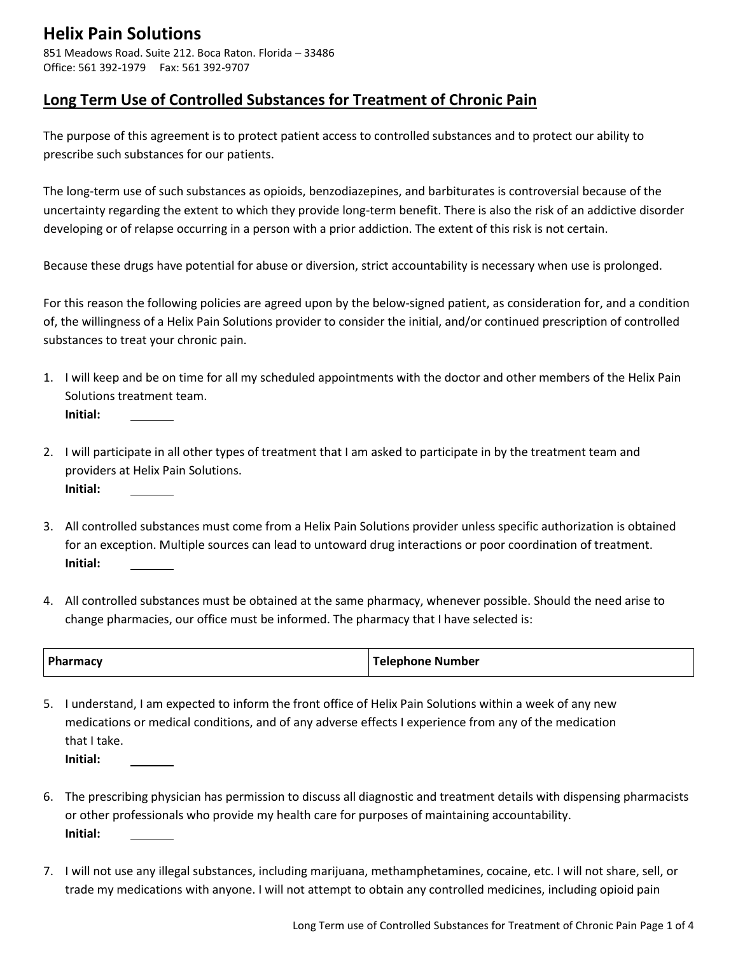851 Meadows Road. Suite 212. Boca Raton. Florida – 33486 Office: 561 392-1979 Fax: 561 392-9707

#### **Long Term Use of Controlled Substances for Treatment of Chronic Pain**

The purpose of this agreement is to protect patient access to controlled substances and to protect our ability to prescribe such substances for our patients.

The long-term use of such substances as opioids, benzodiazepines, and barbiturates is controversial because of the uncertainty regarding the extent to which they provide long-term benefit. There is also the risk of an addictive disorder developing or of relapse occurring in a person with a prior addiction. The extent of this risk is not certain.

Because these drugs have potential for abuse or diversion, strict accountability is necessary when use is prolonged.

For this reason the following policies are agreed upon by the below-signed patient, as consideration for, and a condition of, the willingness of a Helix Pain Solutions provider to consider the initial, and/or continued prescription of controlled substances to treat your chronic pain.

- 1. I will keep and be on time for all my scheduled appointments with the doctor and other members of the Helix Pain Solutions treatment team. **Initial:**
- 2. I will participate in all other types of treatment that I am asked to participate in by the treatment team and providers at Helix Pain Solutions. **Initial:**
- 3. All controlled substances must come from a Helix Pain Solutions provider unless specific authorization is obtained for an exception. Multiple sources can lead to untoward drug interactions or poor coordination of treatment. **Initial:**
- 4. All controlled substances must be obtained at the same pharmacy, whenever possible. Should the need arise to change pharmacies, our office must be informed. The pharmacy that I have selected is:

| <b>Ph</b><br>'narmacy | Telephone Number |
|-----------------------|------------------|
|-----------------------|------------------|

5. I understand, I am expected to inform the front office of Helix Pain Solutions within a week of any new medications or medical conditions, and of any adverse effects I experience from any of the medication that I take. **Initial:**

- 6. The prescribing physician has permission to discuss all diagnostic and treatment details with dispensing pharmacists or other professionals who provide my health care for purposes of maintaining accountability. **Initial:**
- 7. I will not use any illegal substances, including marijuana, methamphetamines, cocaine, etc. I will not share, sell, or trade my medications with anyone. I will not attempt to obtain any controlled medicines, including opioid pain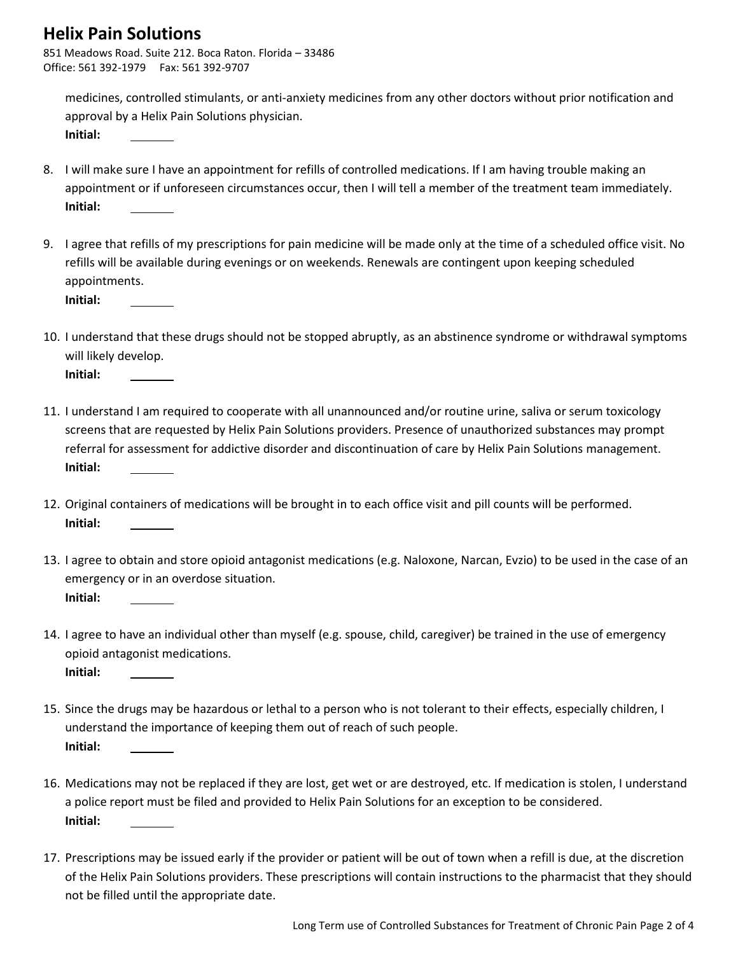851 Meadows Road. Suite 212. Boca Raton. Florida – 33486 Office: 561 392-1979 Fax: 561 392-9707

medicines, controlled stimulants, or anti-anxiety medicines from any other doctors without prior notification and approval by a Helix Pain Solutions physician. **Initial:**

8. I will make sure I have an appointment for refills of controlled medications. If I am having trouble making an appointment or if unforeseen circumstances occur, then I will tell a member of the treatment team immediately. **Initial:**

9. I agree that refills of my prescriptions for pain medicine will be made only at the time of a scheduled office visit. No refills will be available during evenings or on weekends. Renewals are contingent upon keeping scheduled appointments.

**Initial:**

10. I understand that these drugs should not be stopped abruptly, as an abstinence syndrome or withdrawal symptoms will likely develop.

**Initial:**

- 11. I understand I am required to cooperate with all unannounced and/or routine urine, saliva or serum toxicology screens that are requested by Helix Pain Solutions providers. Presence of unauthorized substances may prompt referral for assessment for addictive disorder and discontinuation of care by Helix Pain Solutions management. **Initial:**
- 12. Original containers of medications will be brought in to each office visit and pill counts will be performed. **Initial:**
- 13. I agree to obtain and store opioid antagonist medications (e.g. Naloxone, Narcan, Evzio) to be used in the case of an emergency or in an overdose situation. **Initial:**
- 14. I agree to have an individual other than myself (e.g. spouse, child, caregiver) be trained in the use of emergency opioid antagonist medications. **Initial:**
- 15. Since the drugs may be hazardous or lethal to a person who is not tolerant to their effects, especially children, I understand the importance of keeping them out of reach of such people. **Initial:**
- 16. Medications may not be replaced if they are lost, get wet or are destroyed, etc. If medication is stolen, I understand a police report must be filed and provided to Helix Pain Solutions for an exception to be considered. **Initial:**
- 17. Prescriptions may be issued early if the provider or patient will be out of town when a refill is due, at the discretion of the Helix Pain Solutions providers. These prescriptions will contain instructions to the pharmacist that they should not be filled until the appropriate date.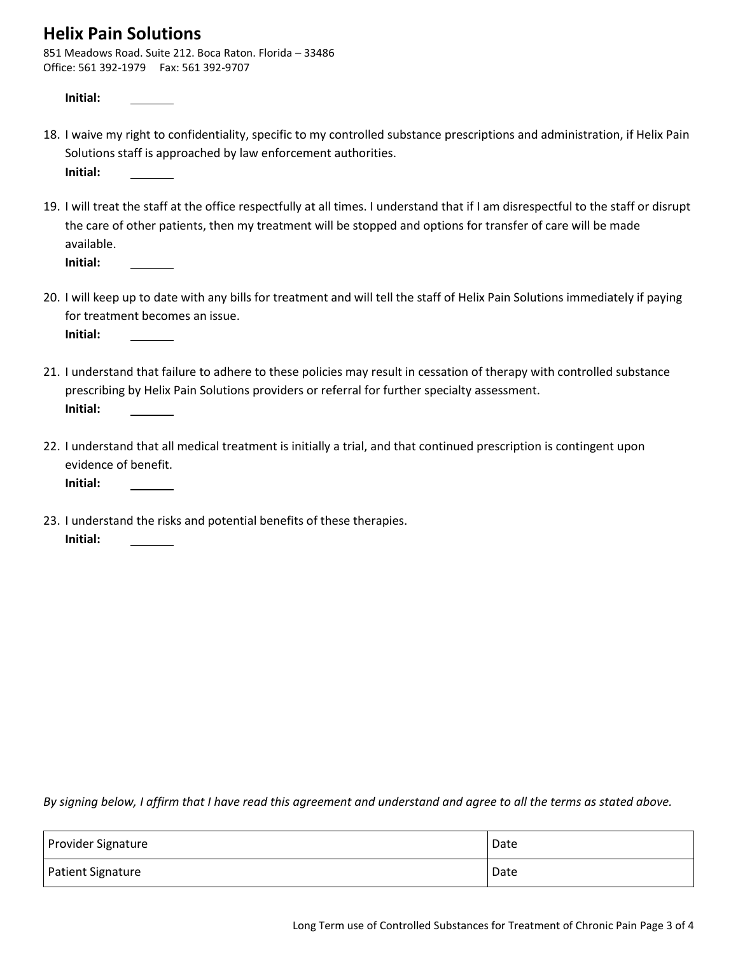851 Meadows Road. Suite 212. Boca Raton. Florida – 33486 Office: 561 392-1979 Fax: 561 392-9707

**Initial:**

- 18. I waive my right to confidentiality, specific to my controlled substance prescriptions and administration, if Helix Pain Solutions staff is approached by law enforcement authorities. **Initial:**
- 19. I will treat the staff at the office respectfully at all times. I understand that if I am disrespectful to the staff or disrupt the care of other patients, then my treatment will be stopped and options for transfer of care will be made available. **Initial:**
- 20. I will keep up to date with any bills for treatment and will tell the staff of Helix Pain Solutions immediately if paying for treatment becomes an issue.
	- **Initial:**
- 21. I understand that failure to adhere to these policies may result in cessation of therapy with controlled substance prescribing by Helix Pain Solutions providers or referral for further specialty assessment. **Initial:**
- 22. I understand that all medical treatment is initially a trial, and that continued prescription is contingent upon evidence of benefit. **Initial:**

23. I understand the risks and potential benefits of these therapies. **Initial:**

*By signing below, I affirm that I have read this agreement and understand and agree to all the terms as stated above.*

| Provider Signature | Date |
|--------------------|------|
| Patient Signature  | Date |